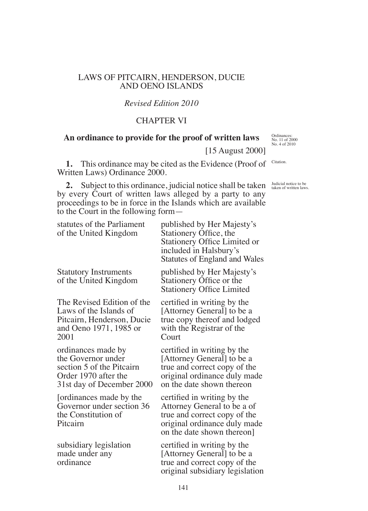### LAWS OF PITCAIRN, HENDERSON, DUCIE AND OENO ISLANDS

## *Revised Edition 2010*

# CHAPTER VI

## **An ordinance to provide for the proof of written laws**

Ordinances: No. 11 of 2000 No. 4 of 2010

Judicial notice to be taken of written laws.

Citation.

[15 August 2000]

**1.** This ordinance may be cited as the Evidence (Proof of Written Laws) Ordinance 2000.

**2.** Subject to this ordinance, judicial notice shall be taken by every Court of written laws alleged by a party to any proceedings to be in force in the Islands which are available to the Court in the following form—

| statutes of the Parliament<br>of the United Kingdom                                                                        | published by Her Majesty's<br>Stationery Office, the<br><b>Stationery Office Limited or</b><br>included in Halsbury's<br><b>Statutes of England and Wales</b> |
|----------------------------------------------------------------------------------------------------------------------------|---------------------------------------------------------------------------------------------------------------------------------------------------------------|
| <b>Statutory Instruments</b><br>of the United Kingdom                                                                      | published by Her Majesty's<br>Stationery Office or the<br><b>Stationery Office Limited</b>                                                                    |
| The Revised Edition of the<br>Laws of the Islands of<br>Pitcairn, Henderson, Ducie<br>and Oeno 1971, 1985 or<br>2001       | certified in writing by the<br>[Attorney General] to be a<br>true copy thereof and lodged<br>with the Registrar of the<br>$C$ ourt                            |
| ordinances made by<br>the Governor under<br>section 5 of the Pitcairn<br>Order 1970 after the<br>31st day of December 2000 | certified in writing by the<br>[Attorney General] to be a<br>true and correct copy of the<br>original ordinance duly made<br>on the date shown thereon        |
| [ordinances made by the<br>Governor under section 36<br>the Constitution of<br>Pitcairn                                    | certified in writing by the<br>Attorney General to be a of<br>true and correct copy of the<br>original ordinance duly made<br>on the date shown thereon]      |
| subsidiary legislation<br>made under any<br>ordinance                                                                      | certified in writing by the<br>[Attorney General] to be a<br>true and correct copy of the<br>original subsidiary legislation                                  |

141